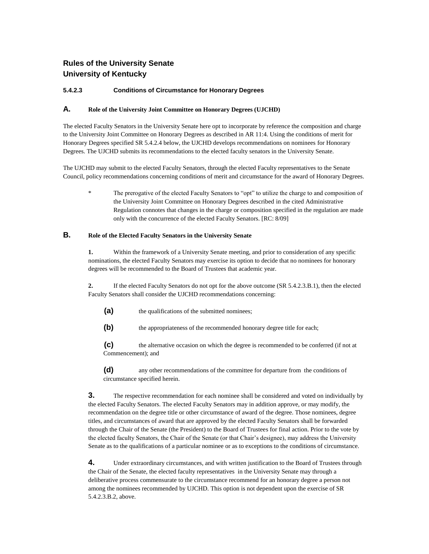# **Rules of the University Senate University of Kentucky**

## **5.4.2.3 Conditions of Circumstance for Honorary Degrees**

### **A. Role of the University Joint Committee on Honorary Degrees (UJCHD)**

The elected Faculty Senators in the University Senate here opt to incorporate by reference the composition and charge to the University Joint Committee on Honorary Degrees as described in AR 11:4. Using the conditions of merit for Honorary Degrees specified SR 5.4.2.4 below, the UJCHD develops recommendations on nominees for Honorary Degrees. The UJCHD submits its recommendations to the elected faculty senators in the University Senate.

The UJCHD may submit to the elected Faculty Senators, through the elected Faculty representatives to the Senate Council, policy recommendations concerning conditions of merit and circumstance for the award of Honorary Degrees.

The prerogative of the elected Faculty Senators to "opt" to utilize the charge to and composition of the University Joint Committee on Honorary Degrees described in the cited Administrative Regulation connotes that changes in the charge or composition specified in the regulation are made only with the concurrence of the elected Faculty Senators. [RC: 8/09]

# **B. Role of the Elected Faculty Senators in the University Senate**

**1.** Within the framework of a University Senate meeting, and prior to consideration of any specific nominations, the elected Faculty Senators may exercise its option to decide that no nominees for honorary degrees will be recommended to the Board of Trustees that academic year.

**2.** If the elected Faculty Senators do not opt for the above outcome (SR 5.4.2.3.B.1), then the elected Faculty Senators shall consider the UJCHD recommendations concerning:

- **(a)** the qualifications of the submitted nominees;
- **(b)** the appropriateness of the recommended honorary degree title for each;

**(c)** the alternative occasion on which the degree is recommended to be conferred (if not at Commencement); and

**(d)** any other recommendations of the committee for departure from the conditions of circumstance specified herein.

**3.** The respective recommendation for each nominee shall be considered and voted on individually by the elected Faculty Senators. The elected Faculty Senators may in addition approve, or may modify, the recommendation on the degree title or other circumstance of award of the degree. Those nominees, degree titles, and circumstances of award that are approved by the elected Faculty Senators shall be forwarded through the Chair of the Senate (the President) to the Board of Trustees for final action. Prior to the vote by the elected faculty Senators, the Chair of the Senate (or that Chair's designee), may address the University Senate as to the qualifications of a particular nominee or as to exceptions to the conditions of circumstance.

**4.** Under extraordinary circumstances, and with written justification to the Board of Trustees through the Chair of the Senate, the elected faculty representatives in the University Senate may through a deliberative process commensurate to the circumstance recommend for an honorary degree a person not among the nominees recommended by UJCHD. This option is not dependent upon the exercise of SR 5.4.2.3.B.2, above.